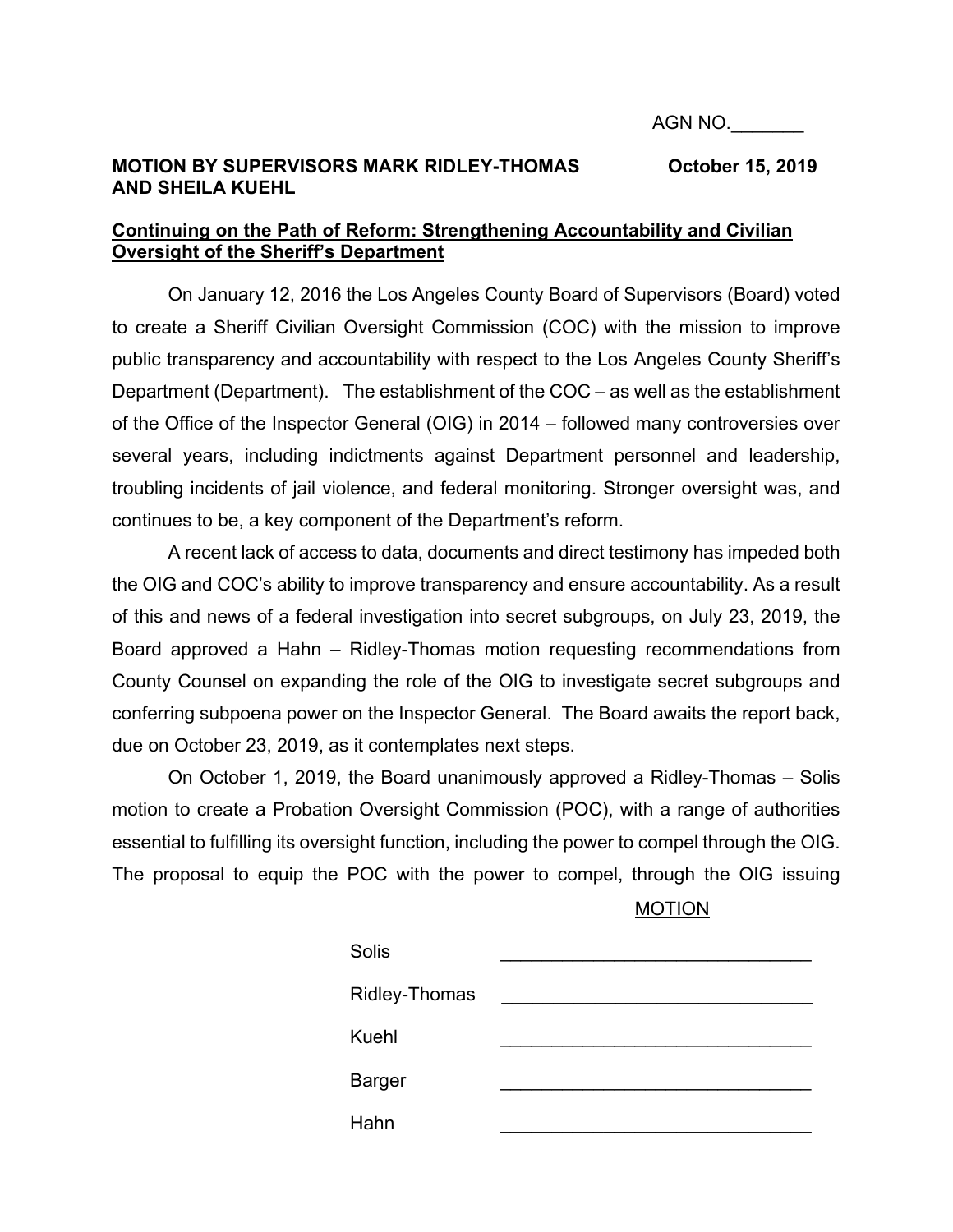## **MOTION BY SUPERVISORS MARK RIDLEY-THOMAS CORPORT 15, 2019 AND SHEILA KUEHL**

## **Continuing on the Path of Reform: Strengthening Accountability and Civilian Oversight of the Sheriff's Department**

On January 12, 2016 the Los Angeles County Board of Supervisors (Board) voted to create a Sheriff Civilian Oversight Commission (COC) with the mission to improve public transparency and accountability with respect to the Los Angeles County Sheriff's Department (Department). The establishment of the COC – as well as the establishment of the Office of the Inspector General (OIG) in 2014 – followed many controversies over several years, including indictments against Department personnel and leadership, troubling incidents of jail violence, and federal monitoring. Stronger oversight was, and continues to be, a key component of the Department's reform.

A recent lack of access to data, documents and direct testimony has impeded both the OIG and COC's ability to improve transparency and ensure accountability. As a result of this and news of a federal investigation into secret subgroups, on July 23, 2019, the Board approved a Hahn – Ridley-Thomas motion requesting recommendations from County Counsel on expanding the role of the OIG to investigate secret subgroups and conferring subpoena power on the Inspector General. The Board awaits the report back, due on October 23, 2019, as it contemplates next steps.

On October 1, 2019, the Board unanimously approved a Ridley-Thomas – Solis motion to create a Probation Oversight Commission (POC), with a range of authorities essential to fulfilling its oversight function, including the power to compel through the OIG. The proposal to equip the POC with the power to compel, through the OIG issuing

MOTION

| Solis                |  |
|----------------------|--|
| <b>Ridley-Thomas</b> |  |
| Kuehl                |  |
| <b>Barger</b>        |  |
| Hahn                 |  |